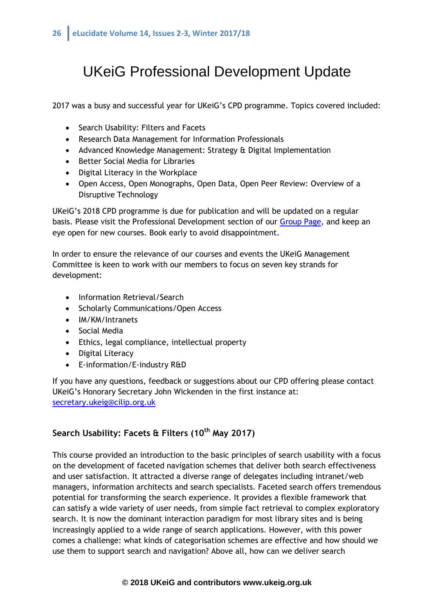# UKeiG Professional Development Update

2017 was a busy and successful year for UKeiG's CPD programme. Topics covered included:

- Search Usability: Filters and Facets
- Research Data Management for Information Professionals
- Advanced Knowledge Management: Strategy & Digital Implementation
- Better Social Media for Libraries
- Digital Literacy in the Workplace
- Open Access, Open Monographs, Open Data, Open Peer Review: Overview of a Disruptive Technology

UKeiG's 2018 CPD programme is due for publication and will be updated on a regular basis. Please visit the Professional Development section of our [Group Page,](https://www.cilip.org.uk/members/group.aspx?id=201314) and keep an eye open for new courses. Book early to avoid disappointment.

In order to ensure the relevance of our courses and events the UKeiG Management Committee is keen to work with our members to focus on seven key strands for development:

- Information Retrieval/Search
- Scholarly Communications/Open Access
- IM/KM/Intranets
- Social Media
- Ethics, legal compliance, intellectual property
- Digital Literacy
- E-information/E-industry R&D

If you have any questions, feedback or suggestions about our CPD offering please contact UKeiG's Honorary Secretary John Wickenden in the first instance at: [secretary.ukeig@cilip.org.uk](mailto:secretary.ukeig@cilip.org.uk)

## **Search Usability: Facets & Filters (10th May 2017)**

This course provided an introduction to the basic principles of search usability with a focus on the development of faceted navigation schemes that deliver both search effectiveness and user satisfaction. It attracted a diverse range of delegates including intranet/web managers, information architects and search specialists. Faceted search offers tremendous potential for transforming the search experience. It provides a flexible framework that can satisfy a wide variety of user needs, from simple fact retrieval to complex exploratory search. It is now the dominant interaction paradigm for most library sites and is being increasingly applied to a wide range of search applications. However, with this power comes a challenge: what kinds of categorisation schemes are effective and how should we use them to support search and navigation? Above all, how can we deliver search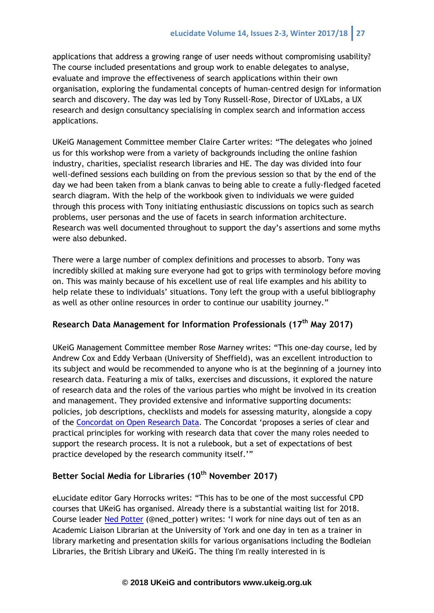applications that address a growing range of user needs without compromising usability? The course included presentations and group work to enable delegates to analyse, evaluate and improve the effectiveness of search applications within their own organisation, exploring the fundamental concepts of human-centred design for information search and discovery. The day was led by Tony Russell-Rose, Director of UXLabs, a UX research and design consultancy specialising in complex search and information access applications.

UKeiG Management Committee member Claire Carter writes: "The delegates who joined us for this workshop were from a variety of backgrounds including the online fashion industry, charities, specialist research libraries and HE. The day was divided into four well-defined sessions each building on from the previous session so that by the end of the day we had been taken from a blank canvas to being able to create a fully-fledged faceted search diagram. With the help of the workbook given to individuals we were guided through this process with Tony initiating enthusiastic discussions on topics such as search problems, user personas and the use of facets in search information architecture. Research was well documented throughout to support the day's assertions and some myths were also debunked.

There were a large number of complex definitions and processes to absorb. Tony was incredibly skilled at making sure everyone had got to grips with terminology before moving on. This was mainly because of his excellent use of real life examples and his ability to help relate these to individuals' situations. Tony left the group with a useful bibliography as well as other online resources in order to continue our usability journey."

#### **Research Data Management for Information Professionals (17th May 2017)**

UKeiG Management Committee member Rose Marney writes: "This one-day course, led by Andrew Cox and Eddy Verbaan (University of Sheffield), was an excellent introduction to its subject and would be recommended to anyone who is at the beginning of a journey into research data. Featuring a mix of talks, exercises and discussions, it explored the nature of research data and the roles of the various parties who might be involved in its creation and management. They provided extensive and informative supporting documents: policies, job descriptions, checklists and models for assessing maturity, alongside a copy of the [Concordat on Open Research Data.](http://www.rcuk.ac.uk/documents/documents/concordatonopenresearchdata-pdf/) The Concordat 'proposes a series of clear and practical principles for working with research data that cover the many roles needed to support the research process. It is not a rulebook, but a set of expectations of best practice developed by the research community itself.'"

## **Better Social Media for Libraries (10th November 2017)**

eLucidate editor Gary Horrocks writes: "This has to be one of the most successful CPD courses that UKeiG has organised. Already there is a substantial waiting list for 2018. Course leader [Ned Potter](https://www.ned-potter.com/) (@ned\_potter) writes: 'I work for nine days out of ten as an Academic Liaison Librarian at the University of York and one day in ten as a trainer in library marketing and presentation skills for various organisations including the Bodleian Libraries, the British Library and UKeiG. The thing I'm really interested in is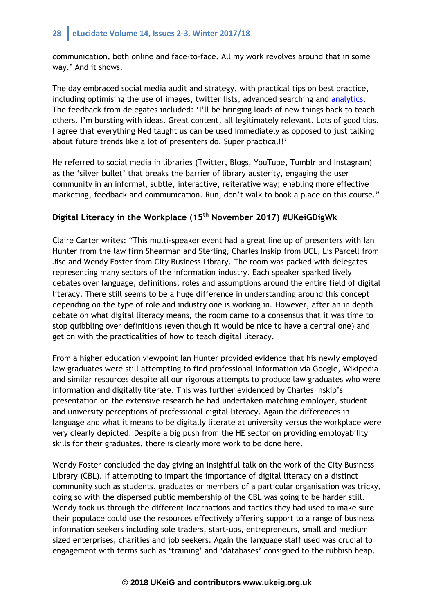communication, both online and face-to-face. All my work revolves around that in some way.' And it shows.

The day embraced social media audit and strategy, with practical tips on best practice, including optimising the use of images, twitter lists, advanced searching and [analytics.](https://www.ned-potter.com/blog/twitter-analytics-is-now-free-for-all-so-what-can-libraries-get-out-of-it) The feedback from delegates included: 'I'll be bringing loads of new things back to teach others. I'm bursting with ideas. Great content, all legitimately relevant. Lots of good tips. I agree that everything Ned taught us can be used immediately as opposed to just talking about future trends like a lot of presenters do. Super practical!!'

He referred to social media in libraries (Twitter, Blogs, YouTube, Tumblr and Instagram) as the 'silver bullet' that breaks the barrier of library austerity, engaging the user community in an informal, subtle, interactive, reiterative way; enabling more effective marketing, feedback and communication. Run, don't walk to book a place on this course."

## **Digital Literacy in the Workplace (15th November 2017) #UKeiGDigWk**

Claire Carter writes: "This multi-speaker event had a great line up of presenters with Ian Hunter from the law firm Shearman and Sterling, Charles Inskip from UCL, Lis Parcell from Jisc and Wendy Foster from City Business Library. The room was packed with delegates representing many sectors of the information industry. Each speaker sparked lively debates over language, definitions, roles and assumptions around the entire field of digital literacy. There still seems to be a huge difference in understanding around this concept depending on the type of role and industry one is working in. However, after an in depth debate on what digital literacy means, the room came to a consensus that it was time to stop quibbling over definitions (even though it would be nice to have a central one) and get on with the practicalities of how to teach digital literacy.

From a higher education viewpoint Ian Hunter provided evidence that his newly employed law graduates were still attempting to find professional information via Google, Wikipedia and similar resources despite all our rigorous attempts to produce law graduates who were information and digitally literate. This was further evidenced by Charles Inskip's presentation on the extensive research he had undertaken matching employer, student and university perceptions of professional digital literacy. Again the differences in language and what it means to be digitally literate at university versus the workplace were very clearly depicted. Despite a big push from the HE sector on providing employability skills for their graduates, there is clearly more work to be done here.

Wendy Foster concluded the day giving an insightful talk on the work of the City Business Library (CBL). If attempting to impart the importance of digital literacy on a distinct community such as students, graduates or members of a particular organisation was tricky, doing so with the dispersed public membership of the CBL was going to be harder still. Wendy took us through the different incarnations and tactics they had used to make sure their populace could use the resources effectively offering support to a range of business information seekers including sole traders, start-ups, entrepreneurs, small and medium sized enterprises, charities and job seekers. Again the language staff used was crucial to engagement with terms such as 'training' and 'databases' consigned to the rubbish heap.